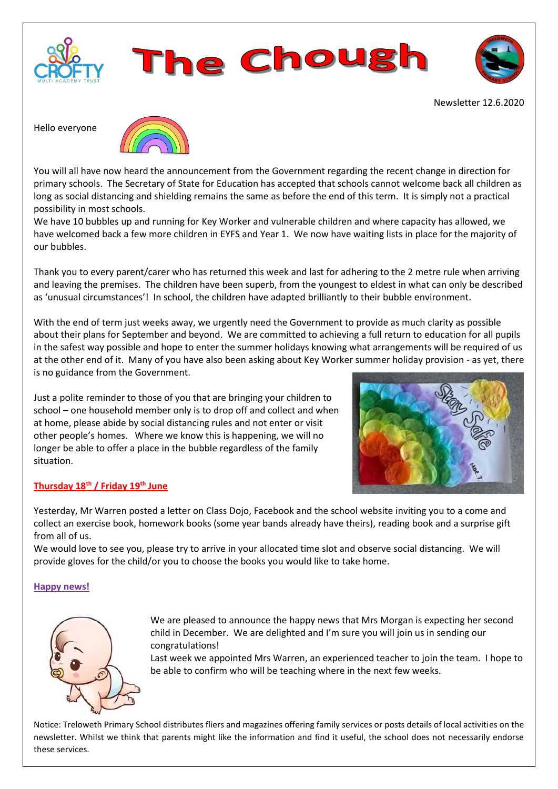





Newsletter 12.6.2020

Hello everyone



You will all have now heard the announcement from the Government regarding the recent change in direction for primary schools. The Secretary of State for Education has accepted that schools cannot welcome back all children as long as social distancing and shielding remains the same as before the end of this term. It is simply not a practical possibility in most schools.

We have 10 bubbles up and running for Key Worker and vulnerable children and where capacity has allowed, we have welcomed back a few more children in EYFS and Year 1. We now have waiting lists in place for the majority of our bubbles.

Thank you to every parent/carer who has returned this week and last for adhering to the 2 metre rule when arriving and leaving the premises. The children have been superb, from the youngest to eldest in what can only be described as 'unusual circumstances'! In school, the children have adapted brilliantly to their bubble environment.

With the end of term just weeks away, we urgently need the Government to provide as much clarity as possible about their plans for September and beyond. We are committed to achieving a full return to education for all pupils in the safest way possible and hope to enter the summer holidays knowing what arrangements will be required of us at the other end of it. Many of you have also been asking about Key Worker summer holiday provision - as yet, there is no guidance from the Government.

Just a polite reminder to those of you that are bringing your children to school – one household member only is to drop off and collect and when at home, please abide by social distancing rules and not enter or visit other people's homes. Where we know this is happening, we will no longer be able to offer a place in the bubble regardless of the family situation.



# **Thursday 18th / Friday 19th June**

Yesterday, Mr Warren posted a letter on Class Dojo, Facebook and the school website inviting you to a come and collect an exercise book, homework books (some year bands already have theirs), reading book and a surprise gift from all of us.

We would love to see you, please try to arrive in your allocated time slot and observe social distancing. We will provide gloves for the child/or you to choose the books you would like to take home.

## **Happy news!**



We are pleased to announce the happy news that Mrs Morgan is expecting her second child in December. We are delighted and I'm sure you will join us in sending our congratulations!

Last week we appointed Mrs Warren, an experienced teacher to join the team. I hope to be able to confirm who will be teaching where in the next few weeks.

Notice: Treloweth Primary School distributes fliers and magazines offering family services or posts details of local activities on the newsletter. Whilst we think that parents might like the information and find it useful, the school does not necessarily endorse these services.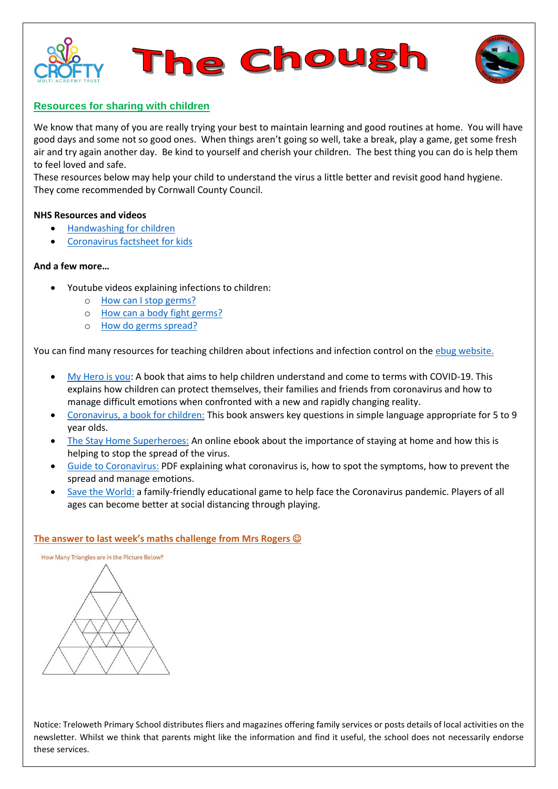



# **Resources for sharing with children**

We know that many of you are really trying your best to maintain learning and good routines at home. You will have good days and some not so good ones. When things aren't going so well, take a break, play a game, get some fresh air and try again another day. Be kind to yourself and cherish your children. The best thing you can do is help them to feel loved and safe.

These resources below may help your child to understand the virus a little better and revisit good hand hygiene. They come recommended by Cornwall County Council.

#### **NHS Resources and videos**

- [Handwashing for children](https://www.youtube.com/watch?v=S9VjeIWLnEg)
- [Coronavirus factsheet for kids](https://www.youtube.com/watch?v=iMR3WPCRuAI)

#### **And a few more…**

- Youtube videos explaining infections to children:
	- o [How can I stop germs?](https://www.youtube.com/watch?v=OGJq_o334cI&feature=youtu.be)
	- o [How can a body fight germs?](https://www.youtube.com/watch?v=sJvFRKyUz1Q&feature=youtu.be)
	- o [How do germs spread?](https://www.youtube.com/watch?v=HCMKFuie8BI&feature=youtu.be)

You can find many resources for teaching children about infections and infection control on th[e ebug website.](https://e-bug.eu/)

- [My Hero is you:](https://www.unicef.org/coronavirus/my-hero-you) A book that aims to help children understand and come to terms with COVID-19. This explains how children can protect themselves, their families and friends from coronavirus and how to manage difficult emotions when confronted with a new and rapidly changing reality.
- [Coronavirus, a book for children:](https://nosycrow.com/blog/released-today-free-information-book-explaining-coronavirus-children-illustrated-gruffalo-illustrator-axel-scheffler/) This book answers key questions in simple language appropriate for 5 to 9 year olds.
- [The Stay Home Superheroes:](https://issuu.com/sophie_marsh/docs/stay_home_superheroes?fbclid=IwAR0GoSP6njTCFt9LYtkAuRslQx_yfW3O7RFLc6ZYHOfxjFaeiZgdPhA5CUg) An online ebook about the importance of staying at home and how this is helping to stop the spread of the virus.
- [Guide to Coronavirus:](file:///C:/Users/Olivia.Denne/AppData/Local/Microsoft/Windows/INetCache/Content.Outlook/DVQ9MORJ/-%09https:/www.childrenscommissioner.gov.uk/wp-content/uploads/2020/03/cco-childrens-guide-to-coronavirus.pdf) PDF explaining what coronavirus is, how to spot the symptoms, how to prevent the spread and manage emotions.
- [Save the World:](https://martin-jacob.itch.io/can-you-save-the-world) a family-friendly educational game to help face the Coronavirus pandemic. Players of all ages can become better at social distancing through playing.

## **The answer to last week's maths challenge from Mrs Rogers**

How Many Triangles are in the Picture Below?

Notice: Treloweth Primary School distributes fliers and magazines offering family services or posts details of local activities on the newsletter. Whilst we think that parents might like the information and find it useful, the school does not necessarily endorse these services.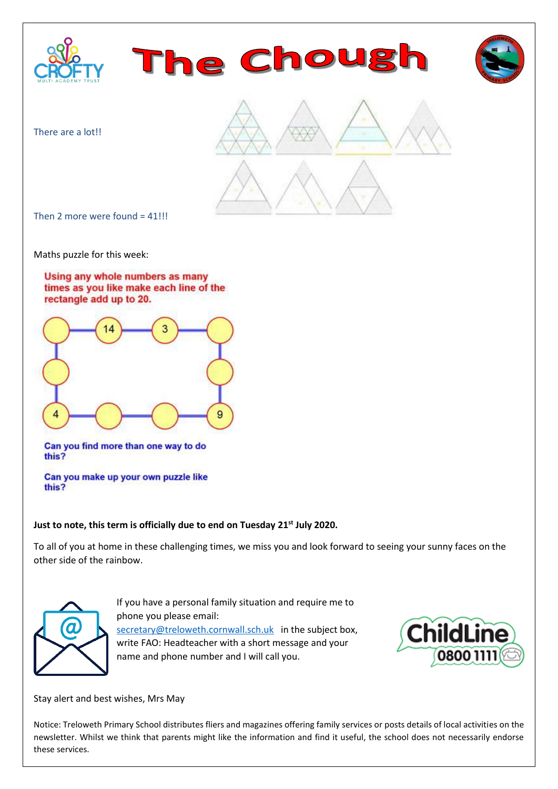

Maths puzzle for this week:





Can you find more than one way to do this?

Can you make up your own puzzle like this?

## **Just to note, this term is officially due to end on Tuesday 21st July 2020.**

To all of you at home in these challenging times, we miss you and look forward to seeing your sunny faces on the other side of the rainbow.



If you have a personal family situation and require me to phone you please email: [secretary@treloweth.cornwall.sch.uk](mailto:secretary@treloweth.cornwall.sch.uk) in the subject box, write FAO: Headteacher with a short message and your name and phone number and I will call you.



Stay alert and best wishes, Mrs May

Notice: Treloweth Primary School distributes fliers and magazines offering family services or posts details of local activities on the newsletter. Whilst we think that parents might like the information and find it useful, the school does not necessarily endorse these services.